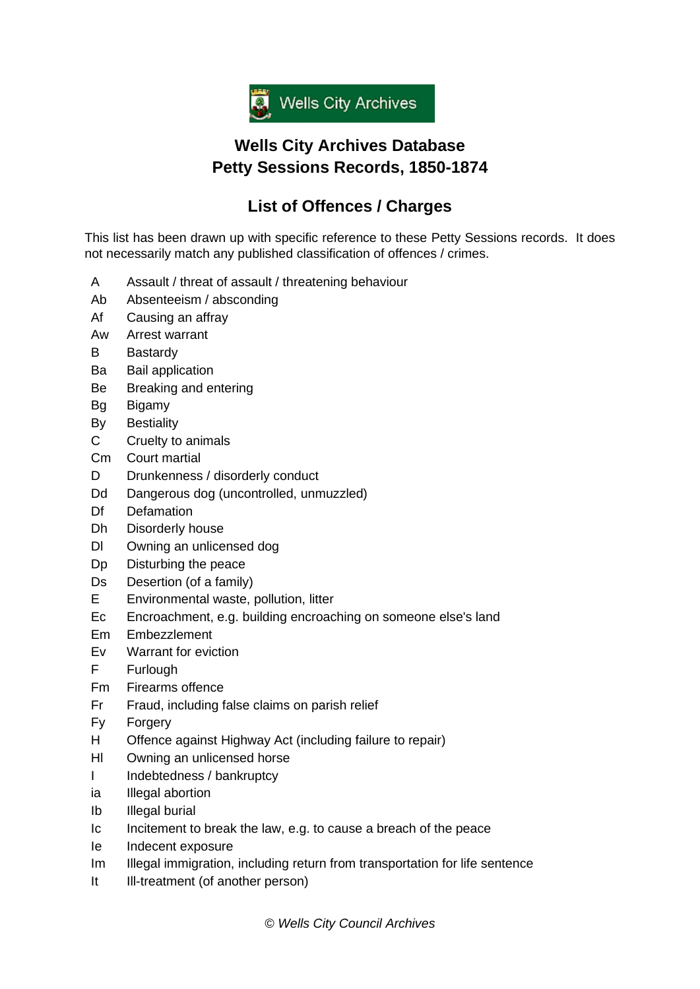

## **Wells City Archives Database Petty Sessions Records, 1850-1874**

## **List of Offences / Charges**

This list has been drawn up with specific reference to these Petty Sessions records. It does not necessarily match any published classification of offences / crimes.

- A Assault / threat of assault / threatening behaviour
- Ab Absenteeism / absconding
- Af Causing an affray
- Aw Arrest warrant
- B Bastardy
- Ba Bail application
- Be Breaking and entering
- Bg Bigamy
- By Bestiality
- C Cruelty to animals
- Cm Court martial
- D Drunkenness / disorderly conduct
- Dd Dangerous dog (uncontrolled, unmuzzled)
- Df Defamation
- Dh Disorderly house
- Dl Owning an unlicensed dog
- Dp Disturbing the peace
- Ds Desertion (of a family)
- E Environmental waste, pollution, litter
- Ec Encroachment, e.g. building encroaching on someone else's land
- Em Embezzlement
- Ev Warrant for eviction
- F Furlough
- Fm Firearms offence
- Fr Fraud, including false claims on parish relief
- Fy Forgery
- H Offence against Highway Act (including failure to repair)
- Hl Owning an unlicensed horse
- I Indebtedness / bankruptcy
- ia Illegal abortion
- Ib Illegal burial
- Ic Incitement to break the law, e.g. to cause a breach of the peace
- Ie Indecent exposure
- Im Illegal immigration, including return from transportation for life sentence
- It Ill-treatment (of another person)